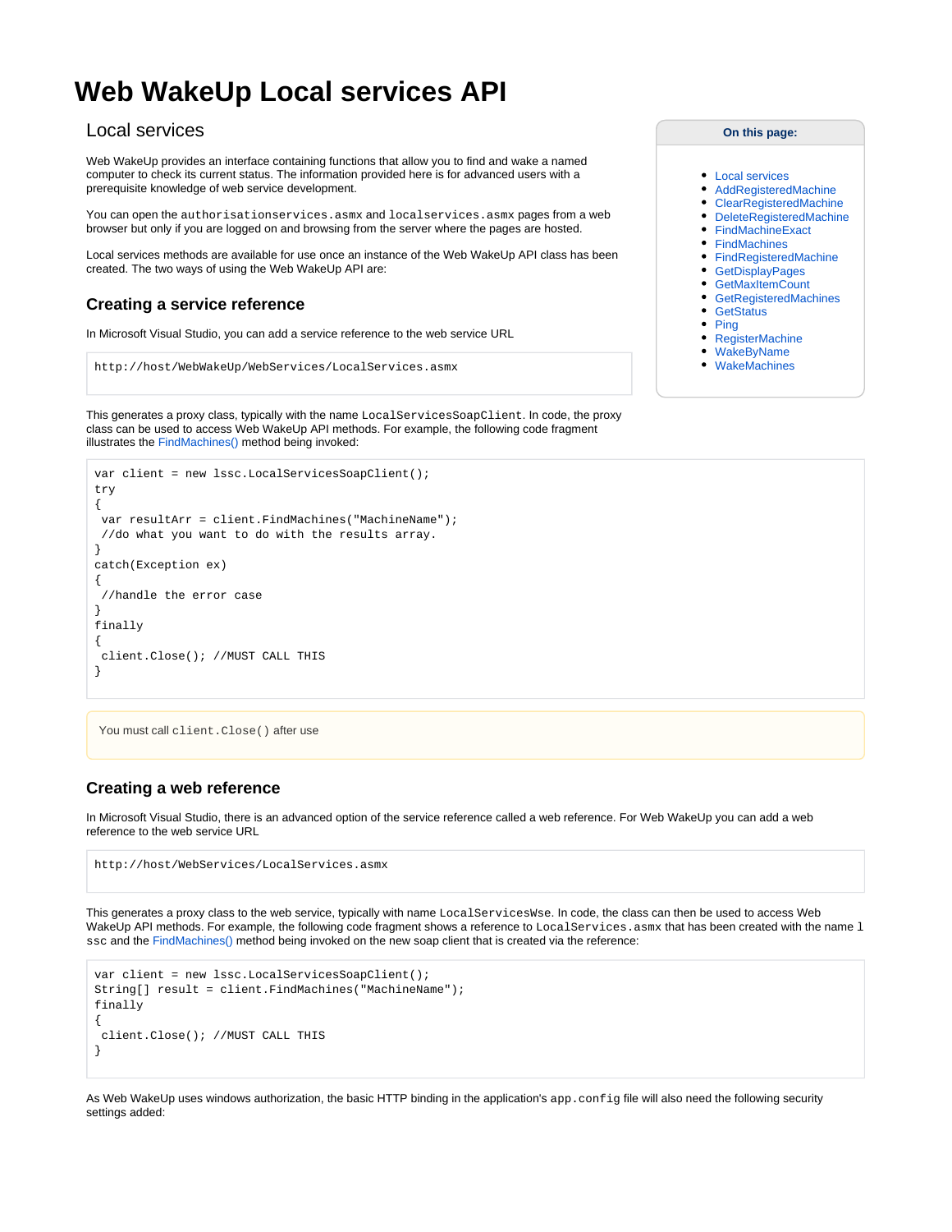# <span id="page-0-0"></span>**Web WakeUp Local services API**

## Local services

Web WakeUp provides an interface containing functions that allow you to find and wake a named computer to check its current status. The information provided here is for advanced users with a prerequisite knowledge of web service development.

You can open the authorisationservices.asmx and localservices.asmx pages from a web browser but only if you are logged on and browsing from the server where the pages are hosted.

Local services methods are available for use once an instance of the Web WakeUp API class has been created. The two ways of using the Web WakeUp API are:

## **Creating a service reference**

In Microsoft Visual Studio, you can add a service reference to the web service URL

```
http://host/WebWakeUp/WebServices/LocalServices.asmx
```
This generates a proxy class, typically with the name LocalServicesSoapClient. In code, the proxy class can be used to access Web WakeUp API methods. For example, the following code fragment illustrates the [FindMachines\(\)](#page-3-0) method being invoked:

```
var client = new lssc.LocalServicesSoapClient();
try
{
  var resultArr = client.FindMachines("MachineName");
  //do what you want to do with the results array.
}
catch(Exception ex)
{
  //handle the error case
}
finally
{
  client.Close(); //MUST CALL THIS
}
```

```
You must call client.Close() after use
```
### **Creating a web reference**

In Microsoft Visual Studio, there is an advanced option of the service reference called a web reference. For Web WakeUp you can add a web reference to the web service URL

```
http://host/WebServices/LocalServices.asmx
```
This generates a proxy class to the web service, typically with name LocalServicesWse. In code, the class can then be used to access Web WakeUp API methods. For example, the following code fragment shows a reference to LocalServices.asmx that has been created with the name 1 ssc and the [FindMachines\(\)](#page-3-0) method being invoked on the new soap client that is created via the reference:

```
var client = new lssc.LocalServicesSoapClient();
String[] result = client.FindMachines("MachineName");
finally
{
  client.Close(); //MUST CALL THIS
}
```
As Web WakeUp uses windows authorization, the basic HTTP binding in the application's app.config file will also need the following security settings added:

#### **On this page:**

- [Local services](#page-0-0)
- [AddRegisteredMachine](#page-1-0)
- [ClearRegisteredMachine](#page-1-1)
- [DeleteRegisteredMachine](#page-2-0)
- [FindMachineExact](#page-3-1)
- [FindMachines](#page-3-0)
- [FindRegisteredMachine](#page-4-0)
- [GetDisplayPages](#page-5-0)
- [GetMaxItemCount](#page-5-1)
- [GetRegisteredMachines](#page-6-0)
- **[GetStatus](#page-6-1)**
- $\bullet$  [Ping](#page-7-0)
- [RegisterMachine](#page-8-0)
- [WakeByName](#page-9-0) [WakeMachines](#page-9-1)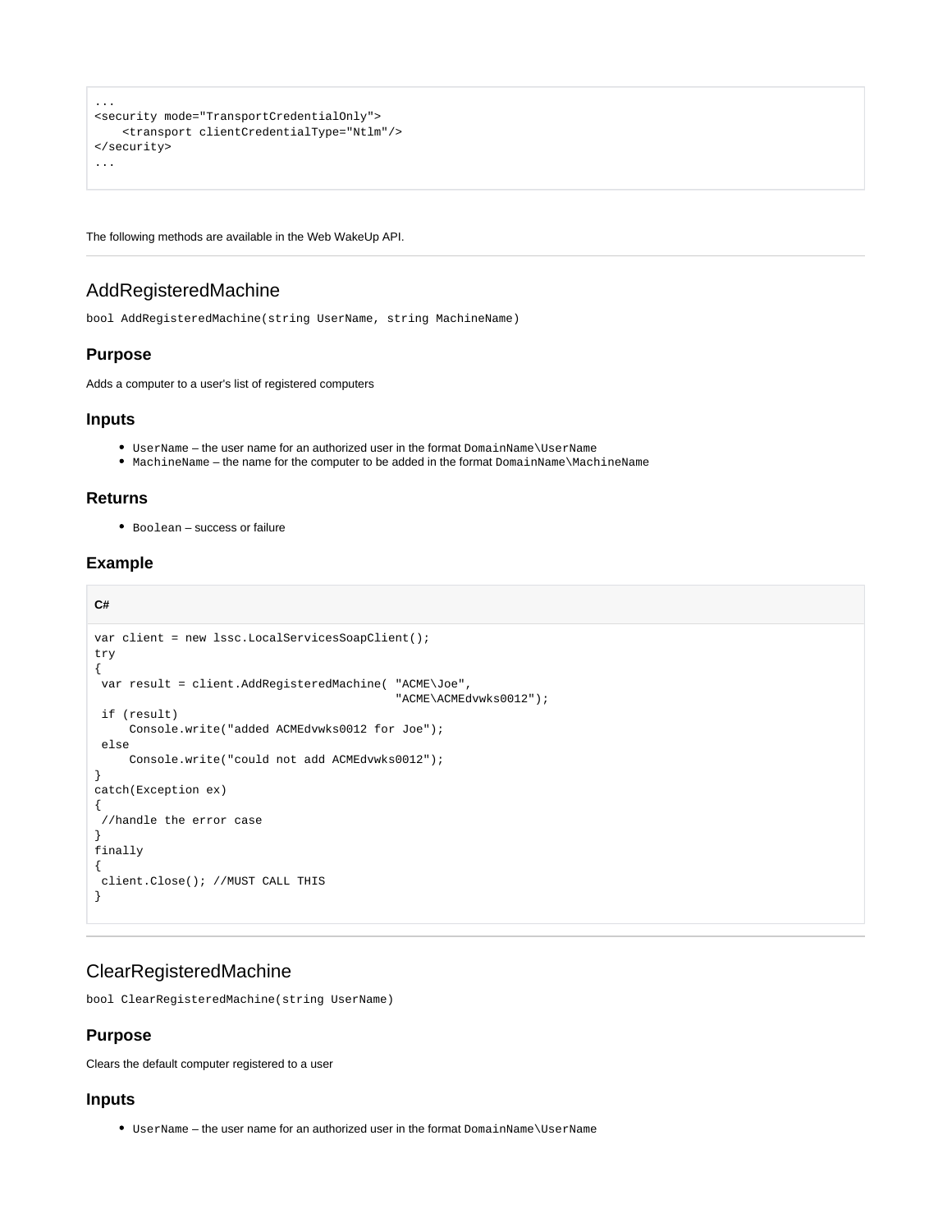```
...
<security mode="TransportCredentialOnly">
    <transport clientCredentialType="Ntlm"/>
</security>
...
```
The following methods are available in the Web WakeUp API.

## <span id="page-1-0"></span>AddRegisteredMachine

bool AddRegisteredMachine(string UserName, string MachineName)

#### **Purpose**

Adds a computer to a user's list of registered computers

#### **Inputs**

- UserName the user name for an authorized user in the format DomainName\UserName
- MachineName the name for the computer to be added in the format DomainName\MachineName

#### **Returns**

Boolean – success or failure

## **Example**

**C#**

```
var client = new lssc.LocalServicesSoapClient();
try
{
  var result = client.AddRegisteredMachine( "ACME\Joe",
                                              "ACME\ACMEdvwks0012");
  if (result)
      Console.write("added ACMEdvwks0012 for Joe");
  else
      Console.write("could not add ACMEdvwks0012");
}
catch(Exception ex)
{
  //handle the error case
}
finally
{
  client.Close(); //MUST CALL THIS
}
```
## <span id="page-1-1"></span>ClearRegisteredMachine

bool ClearRegisteredMachine(string UserName)

#### **Purpose**

Clears the default computer registered to a user

#### **Inputs**

UserName – the user name for an authorized user in the format DomainName\UserName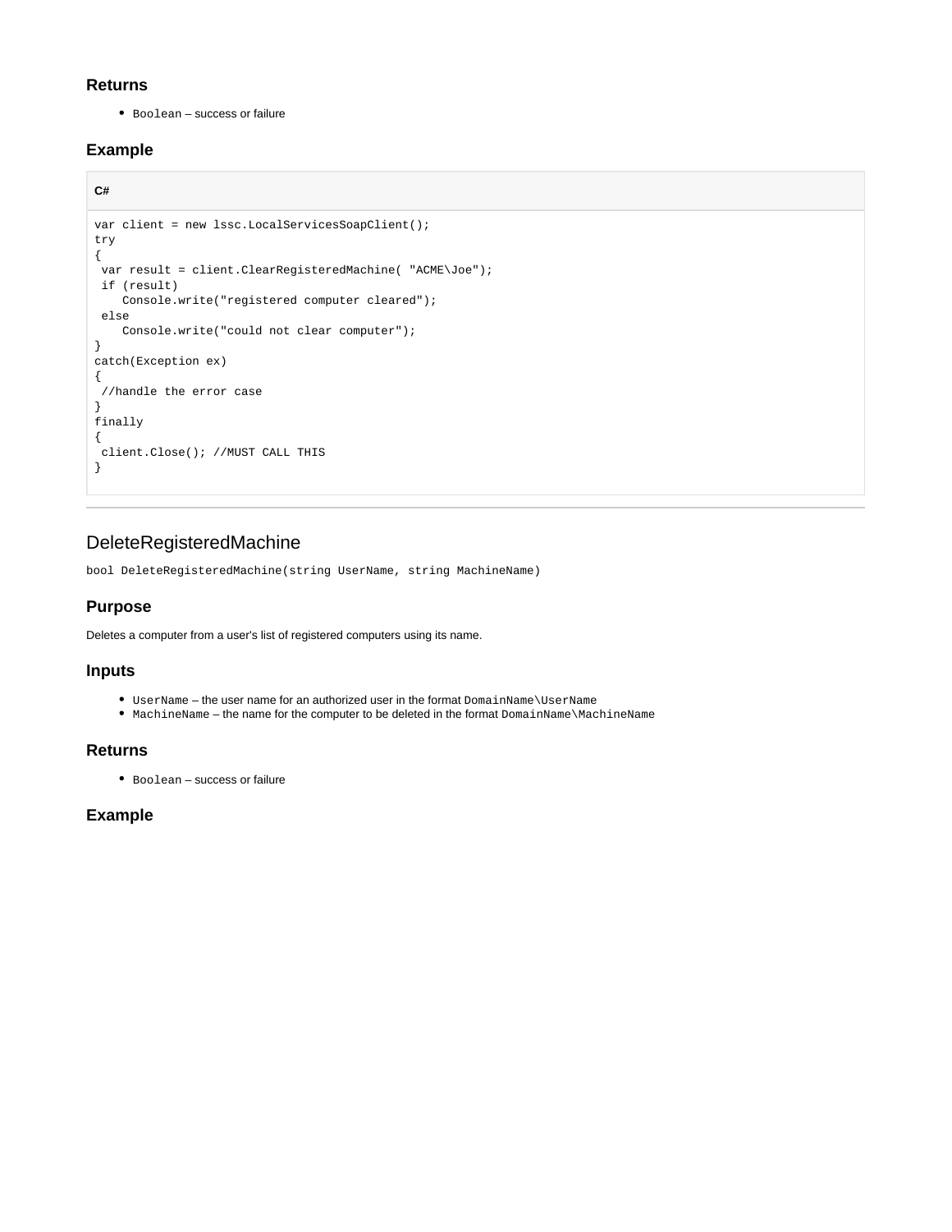## **Returns**

Boolean – success or failure

## **Example**

```
C#
```

```
var client = new lssc.LocalServicesSoapClient();
try
{
  var result = client.ClearRegisteredMachine( "ACME\Joe");
 if (result)
    Console.write("registered computer cleared");
 else
    Console.write("could not clear computer");
}
catch(Exception ex)
{
  //handle the error case
}
finally
{
 client.Close(); //MUST CALL THIS
}
```
## <span id="page-2-0"></span>DeleteRegisteredMachine

bool DeleteRegisteredMachine(string UserName, string MachineName)

## **Purpose**

Deletes a computer from a user's list of registered computers using its name.

### **Inputs**

- UserName the user name for an authorized user in the format DomainName\UserName
- MachineName the name for the computer to be deleted in the format DomainName\MachineName

### **Returns**

Boolean – success or failure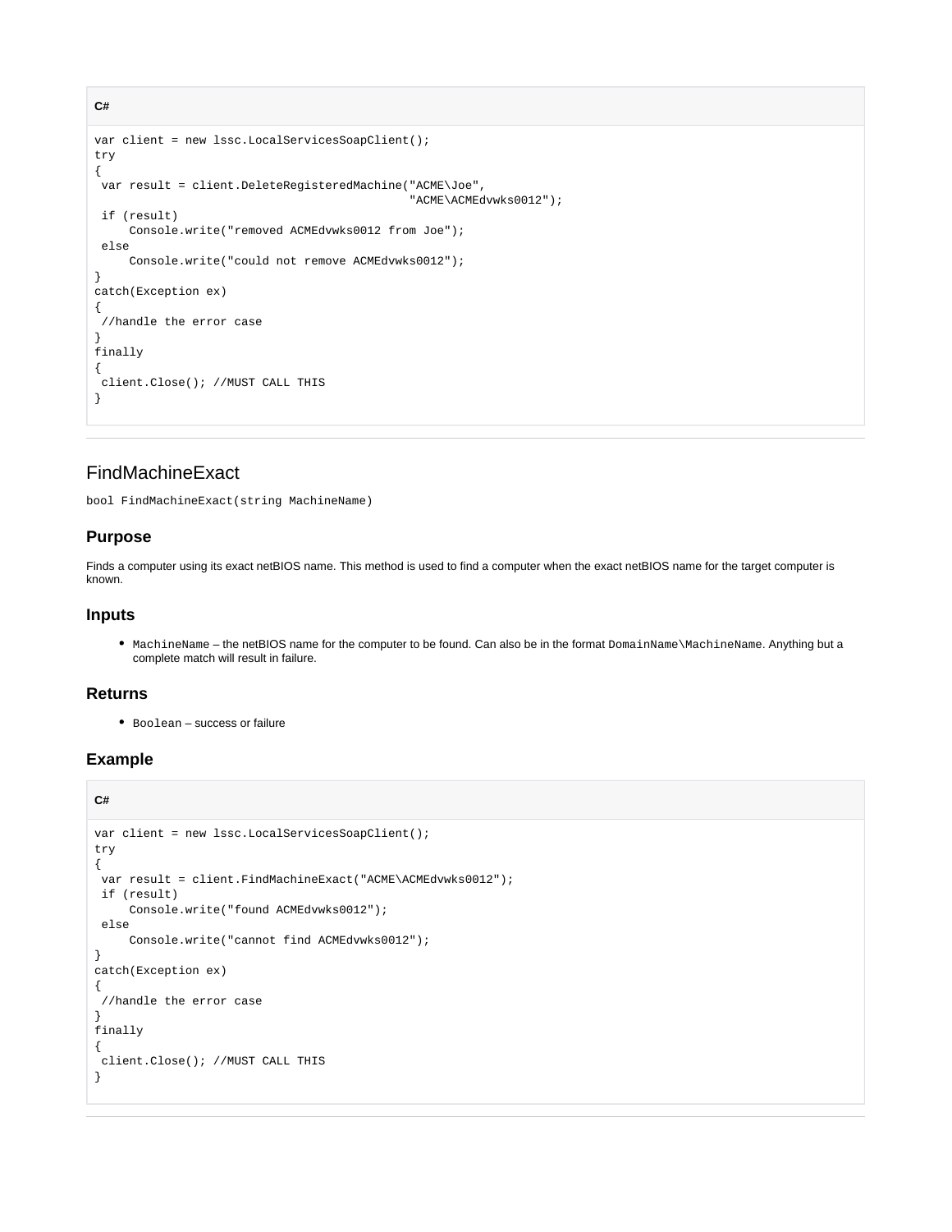```
var client = new lssc.LocalServicesSoapClient();
try
{
 var result = client.DeleteRegisteredMachine("ACME\Joe",
                                                "ACME\ACMEdvwks0012");
 if (result)
     Console.write("removed ACMEdvwks0012 from Joe");
 else
      Console.write("could not remove ACMEdvwks0012");
}
catch(Exception ex)
{
  //handle the error case
}
finally
{
 client.Close(); //MUST CALL THIS
}
```
## <span id="page-3-1"></span>FindMachineExact

bool FindMachineExact(string MachineName)

#### **Purpose**

**C#**

Finds a computer using its exact netBIOS name. This method is used to find a computer when the exact netBIOS name for the target computer is known.

#### **Inputs**

MachineName – the netBIOS name for the computer to be found. Can also be in the format DomainName\MachineName. Anything but a complete match will result in failure.

#### **Returns**

Boolean – success or failure

```
C#
var client = new lssc.LocalServicesSoapClient();
try
{
var result = client.FindMachineExact("ACME\ACMEdvwks0012");
 if (result)
      Console.write("found ACMEdvwks0012");
 else
      Console.write("cannot find ACMEdvwks0012");
}
catch(Exception ex)
{
  //handle the error case
}
finally
{
  client.Close(); //MUST CALL THIS
}
```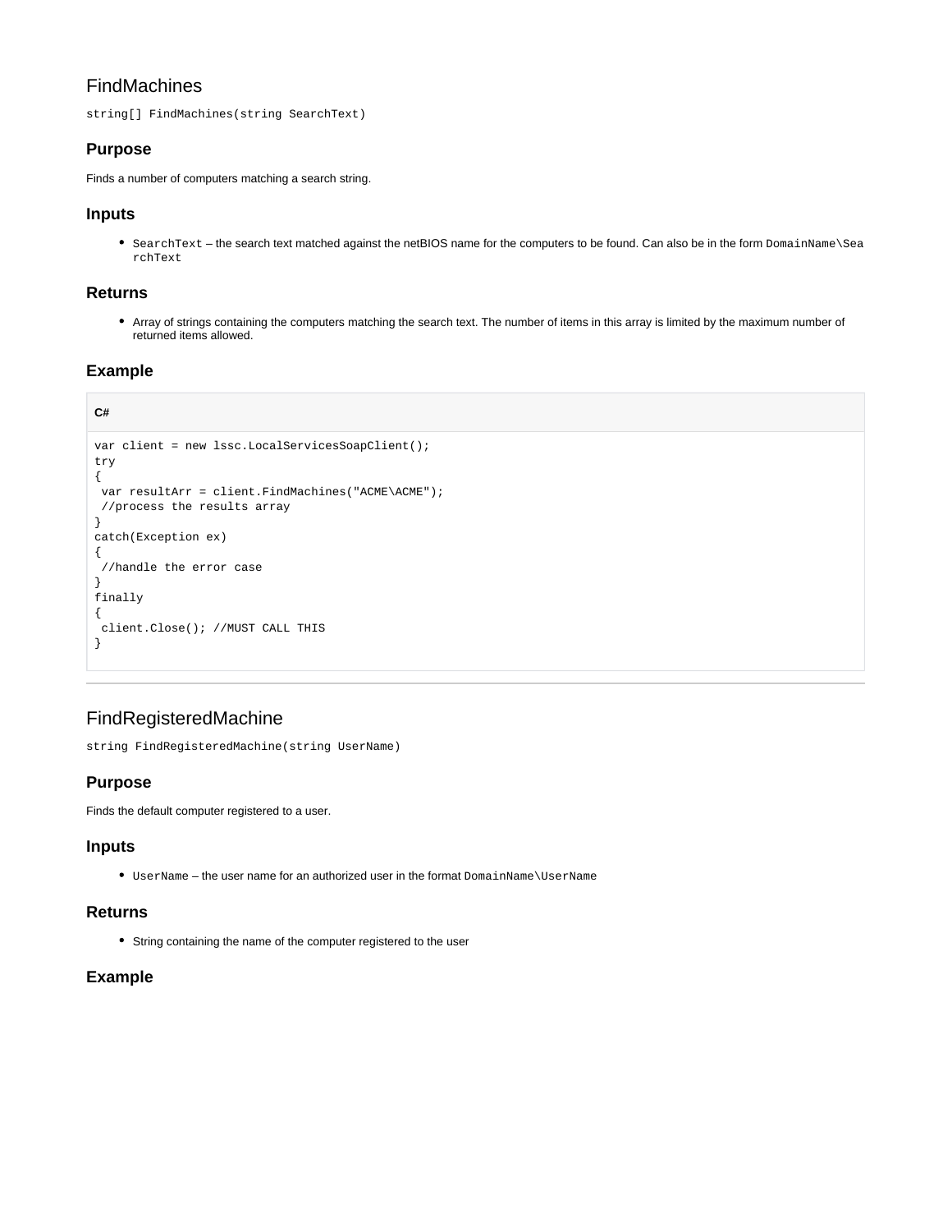## FindMachines

string[] FindMachines(string SearchText)

## **Purpose**

Finds a number of computers matching a search string.

## **Inputs**

SearchText – the search text matched against the netBIOS name for the computers to be found. Can also be in the form DomainName\Sea rchText

## **Returns**

Array of strings containing the computers matching the search text. The number of items in this array is limited by the maximum number of returned items allowed.

## **Example**

## **C#**

```
var client = new lssc.LocalServicesSoapClient();
try
{
 var resultArr = client.FindMachines("ACME\ACME");
 //process the results array
}
catch(Exception ex)
{
  //handle the error case
}
finally
{
 client.Close(); //MUST CALL THIS
}
```
## <span id="page-4-0"></span>FindRegisteredMachine

string FindRegisteredMachine(string UserName)

## **Purpose**

Finds the default computer registered to a user.

### **Inputs**

UserName – the user name for an authorized user in the format DomainName\UserName

### **Returns**

String containing the name of the computer registered to the user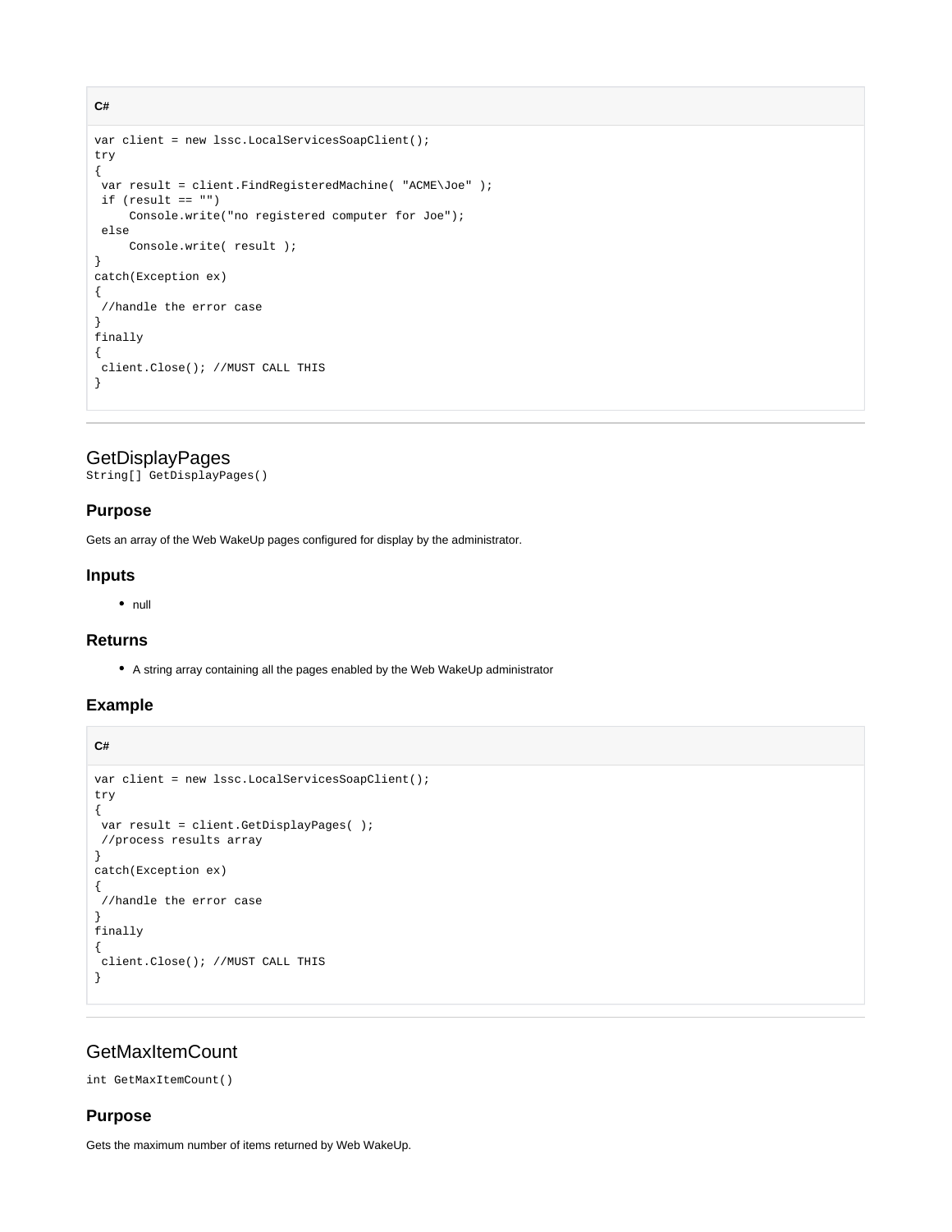```
var client = new lssc.LocalServicesSoapClient();
try
{
 var result = client.FindRegisteredMachine( "ACME\Joe" );
if (result == "") Console.write("no registered computer for Joe");
 else
      Console.write( result );
}
catch(Exception ex)
{
  //handle the error case
}
finally
{
 client.Close(); //MUST CALL THIS
}
```
## <span id="page-5-0"></span>**GetDisplayPages**

String[] GetDisplayPages()

#### **Purpose**

**C#**

Gets an array of the Web WakeUp pages configured for display by the administrator.

#### **Inputs**

 $\bullet$  null

#### **Returns**

A string array containing all the pages enabled by the Web WakeUp administrator

#### **Example**

**C#**

```
var client = new lssc.LocalServicesSoapClient();
try
{
 var result = client.GetDisplayPages( );
 //process results array
}
catch(Exception ex)
{
  //handle the error case
}
finally
{
 client.Close(); //MUST CALL THIS
}
```
## <span id="page-5-1"></span>**GetMaxItemCount**

int GetMaxItemCount()

#### **Purpose**

Gets the maximum number of items returned by Web WakeUp.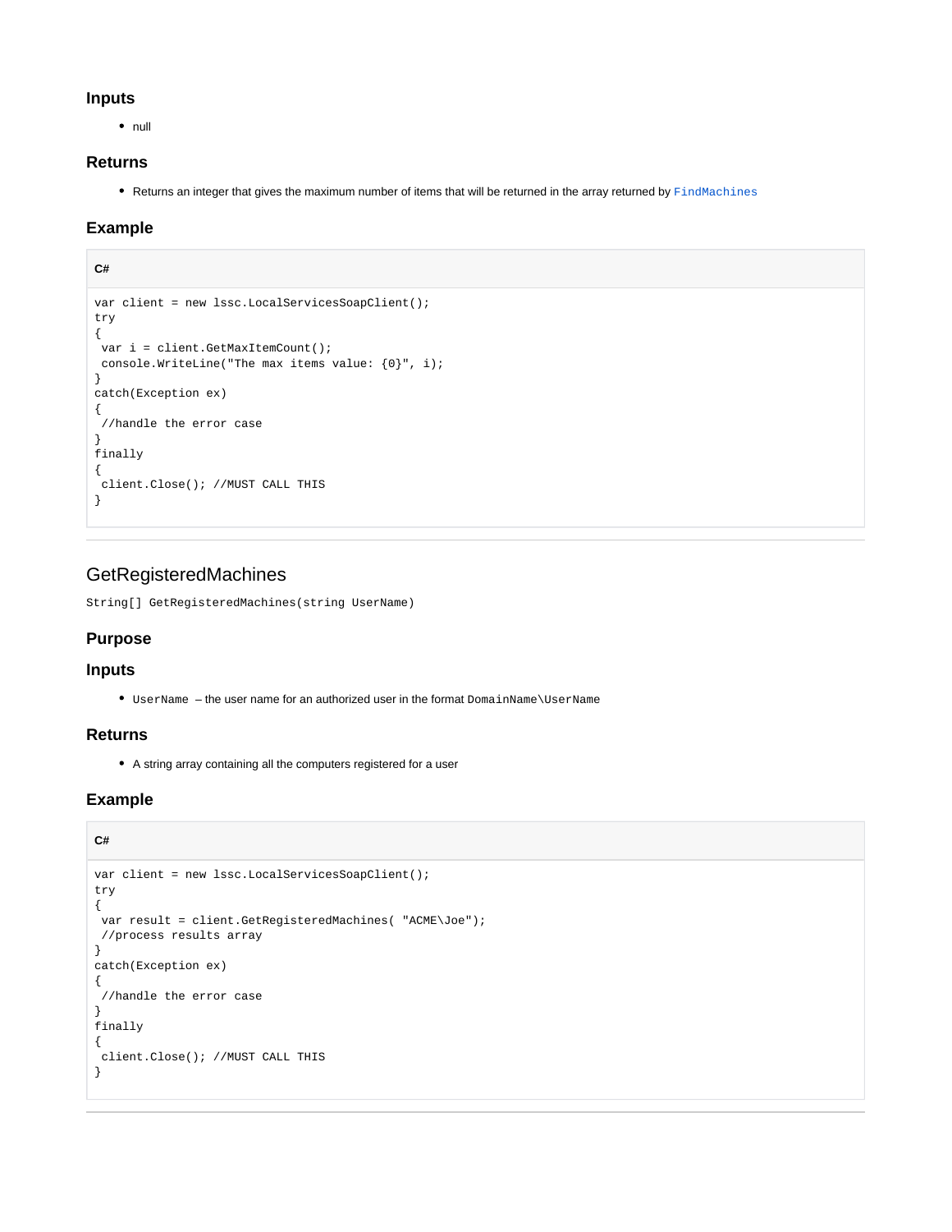#### **Inputs**

 $\bullet$  null

## **Returns**

• Returns an integer that gives the maximum number of items that will be returned in the array returned by [FindMachines](#page-3-0)

## **Example**

## **C#**

```
var client = new lssc.LocalServicesSoapClient();
try
{
 var i = client.GetMaxItemCount();
 console.WriteLine("The max items value: {0}", i);
}
catch(Exception ex)
{
  //handle the error case
}
finally
{
 client.Close(); //MUST CALL THIS
}
```
## <span id="page-6-0"></span>GetRegisteredMachines

String[] GetRegisteredMachines(string UserName)

## **Purpose**

### **Inputs**

UserName – the user name for an authorized user in the format DomainName\UserName

## **Returns**

A string array containing all the computers registered for a user

## **Example**

### **C#**

```
var client = new lssc.LocalServicesSoapClient();
try
{
 var result = client.GetRegisteredMachines( "ACME\Joe");
 //process results array
}
catch(Exception ex)
{
  //handle the error case
}
finally
{
 client.Close(); //MUST CALL THIS
}
```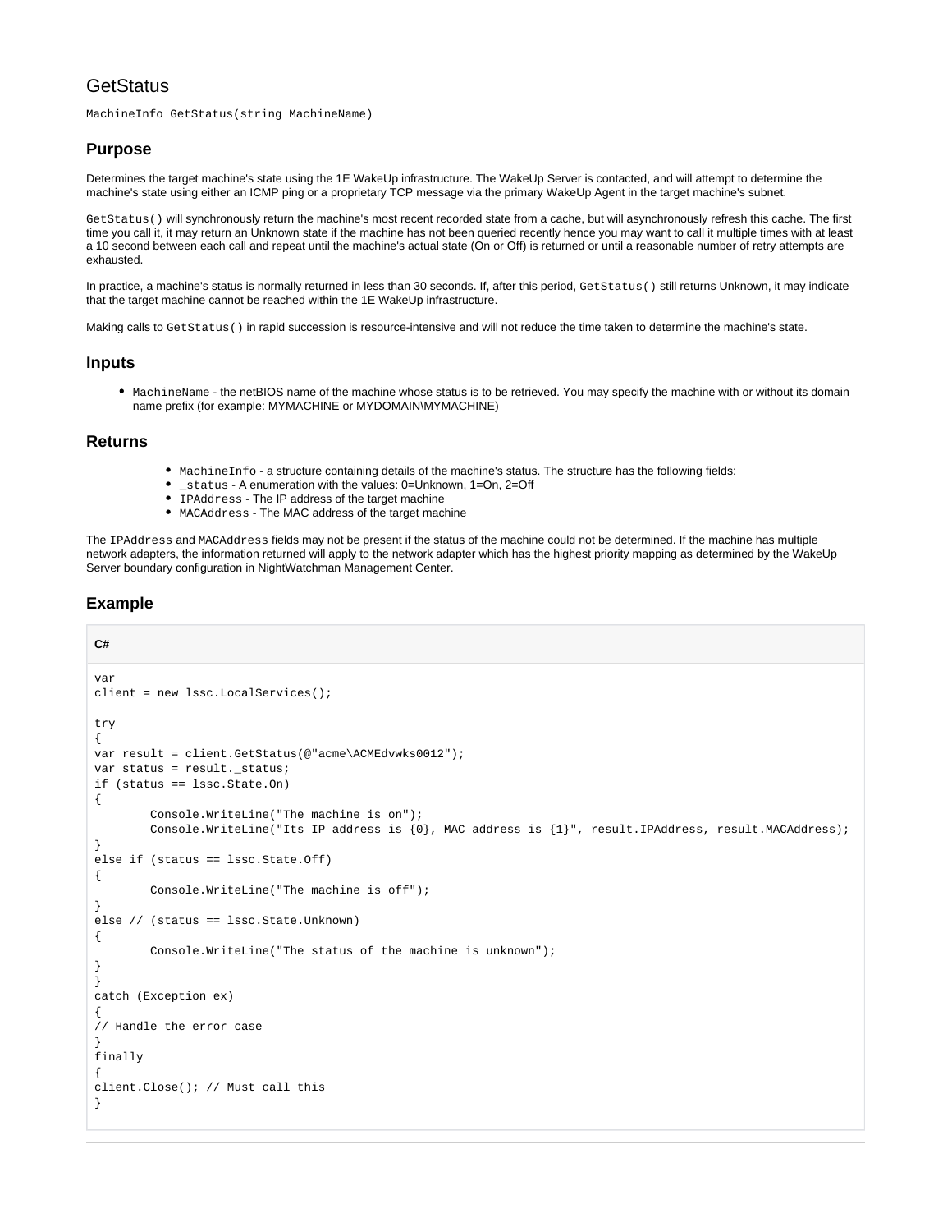## **GetStatus**

MachineInfo GetStatus(string MachineName)

#### **Purpose**

Determines the target machine's state using the 1E WakeUp infrastructure. The WakeUp Server is contacted, and will attempt to determine the machine's state using either an ICMP ping or a proprietary TCP message via the primary WakeUp Agent in the target machine's subnet.

GetStatus() will synchronously return the machine's most recent recorded state from a cache, but will asynchronously refresh this cache. The first time you call it, it may return an Unknown state if the machine has not been queried recently hence you may want to call it multiple times with at least a 10 second between each call and repeat until the machine's actual state (On or Off) is returned or until a reasonable number of retry attempts are exhausted.

In practice, a machine's status is normally returned in less than 30 seconds. If, after this period, GetStatus() still returns Unknown, it may indicate that the target machine cannot be reached within the 1E WakeUp infrastructure.

Making calls to GetStatus() in rapid succession is resource-intensive and will not reduce the time taken to determine the machine's state.

#### **Inputs**

MachineName - the netBIOS name of the machine whose status is to be retrieved. You may specify the machine with or without its domain name prefix (for example: MYMACHINE or MYDOMAIN\MYMACHINE)

#### **Returns**

- MachineInfo a structure containing details of the machine's status. The structure has the following fields:
- \_status A enumeration with the values: 0=Unknown, 1=On, 2=Off
- $\overline{\bullet}$  IPAddress The IP address of the target machine
- MACAddress The MAC address of the target machine

The IPAddress and MACAddress fields may not be present if the status of the machine could not be determined. If the machine has multiple network adapters, the information returned will apply to the network adapter which has the highest priority mapping as determined by the WakeUp Server boundary configuration in NightWatchman Management Center.

```
C#
var
client = new lssc.LocalServices();
try
{
var result = client.GetStatus(@"acme\ACMEdvwks0012");
var status = result. status;
if (status == lssc.State.On)
{
         Console.WriteLine("The machine is on");
        Console.WriteLine("Its IP address is {0}, MAC address is {1}", result.IPAddress, result.MACAddress);
}
else if (status == lssc.State.Off)
{
         Console.WriteLine("The machine is off");
}
else // (status == lssc.State.Unknown)
{
         Console.WriteLine("The status of the machine is unknown");
}
}
catch (Exception ex)
{
// Handle the error case
}
finally
{
client.Close(); // Must call this
}
```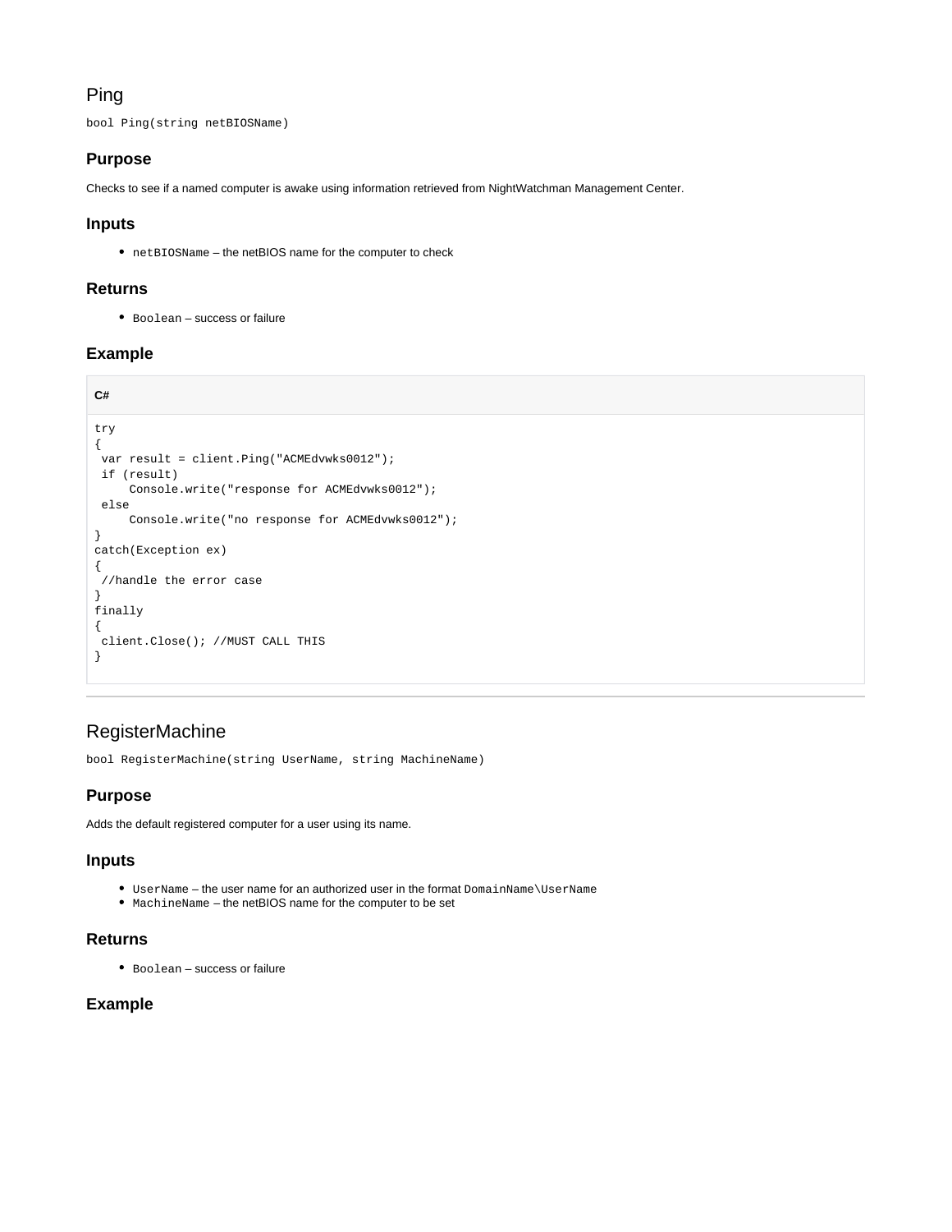## Ping

bool Ping(string netBIOSName)

## **Purpose**

Checks to see if a named computer is awake using information retrieved from NightWatchman Management Center.

## **Inputs**

netBIOSName – the netBIOS name for the computer to check

## **Returns**

Boolean – success or failure

## **Example**

```
C#
try
{
  var result = client.Ping("ACMEdvwks0012");
 if (result)
      Console.write("response for ACMEdvwks0012");
  else
      Console.write("no response for ACMEdvwks0012");
}
catch(Exception ex)
{
  //handle the error case
}
finally
{
 client.Close(); //MUST CALL THIS
}
```
## <span id="page-8-0"></span>RegisterMachine

bool RegisterMachine(string UserName, string MachineName)

## **Purpose**

Adds the default registered computer for a user using its name.

### **Inputs**

- UserName the user name for an authorized user in the format DomainName\UserName
- MachineName the netBIOS name for the computer to be set

## **Returns**

Boolean – success or failure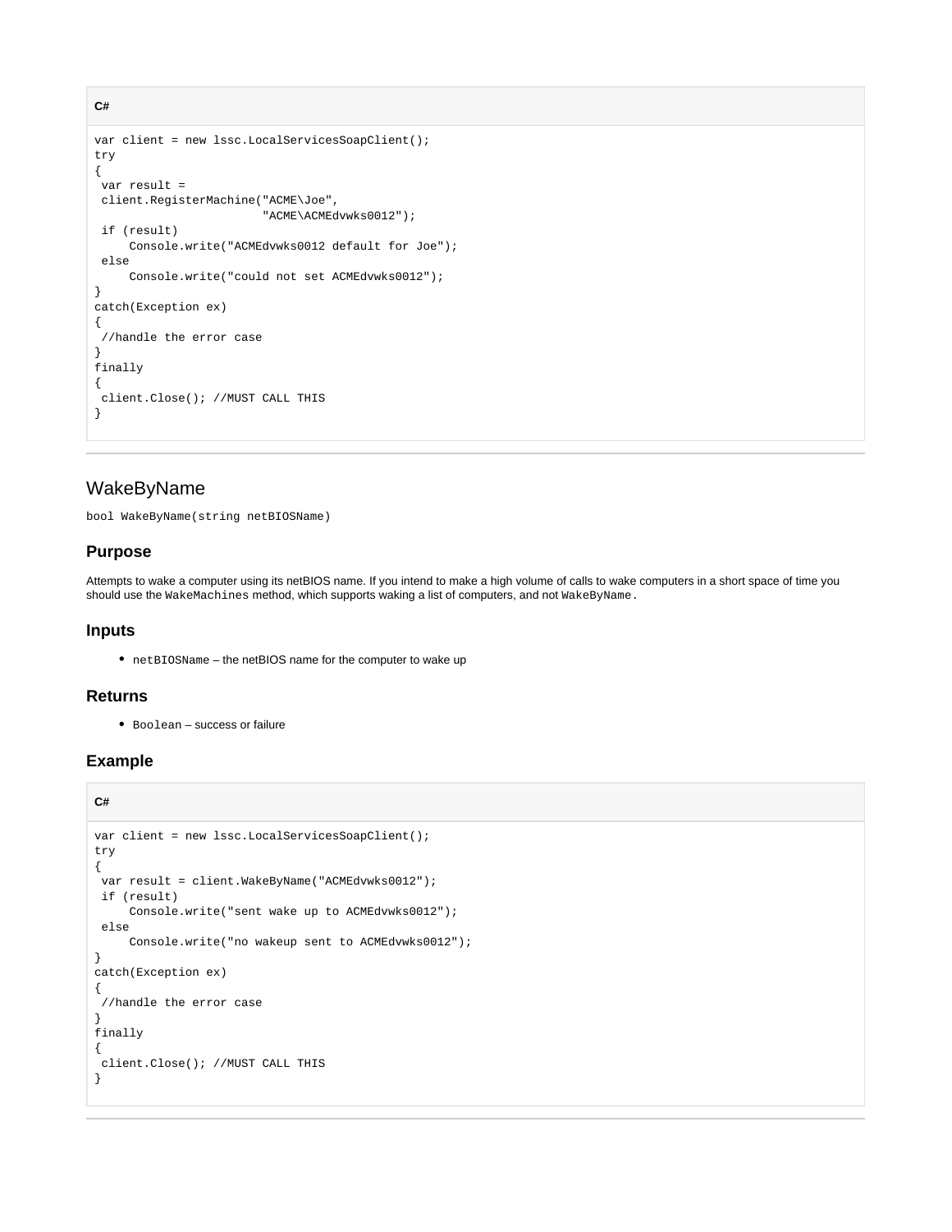```
var client = new lssc.LocalServicesSoapClient();
try
{
 var result = 
 client.RegisterMachine("ACME\Joe",
                         "ACME\ACMEdvwks0012");
  if (result)
     Console.write("ACMEdvwks0012 default for Joe");
  else
      Console.write("could not set ACMEdvwks0012");
}
catch(Exception ex)
{
  //handle the error case
}
finally
{
 client.Close(); //MUST CALL THIS
}
```
## <span id="page-9-0"></span>WakeByName

bool WakeByName(string netBIOSName)

#### **Purpose**

**C#**

Attempts to wake a computer using its netBIOS name. If you intend to make a high volume of calls to wake computers in a short space of time you should use the WakeMachines method, which supports waking a list of computers, and not WakeByName.

#### **Inputs**

netBIOSName – the netBIOS name for the computer to wake up

#### **Returns**

Boolean – success or failure

```
C#
var client = new lssc.LocalServicesSoapClient();
try
{
  var result = client.WakeByName("ACMEdvwks0012");
 if (result)
      Console.write("sent wake up to ACMEdvwks0012");
  else
      Console.write("no wakeup sent to ACMEdvwks0012");
}
catch(Exception ex)
{
  //handle the error case
}
finally
{
 client.Close(); //MUST CALL THIS
}
```